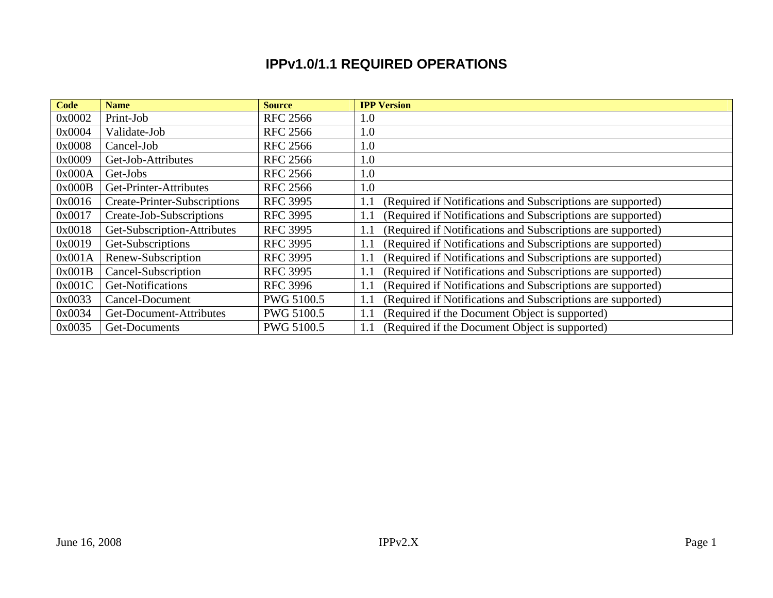## **IPPv1.0/1.1 REQUIRED OPERATIONS**

| <b>Code</b> | <b>Name</b>                         | <b>Source</b>     | <b>IPP Version</b>                                                 |
|-------------|-------------------------------------|-------------------|--------------------------------------------------------------------|
| 0x0002      | Print-Job                           | <b>RFC 2566</b>   | 1.0                                                                |
| 0x0004      | Validate-Job                        | <b>RFC 2566</b>   | 1.0                                                                |
| 0x0008      | Cancel-Job                          | <b>RFC 2566</b>   | 1.0                                                                |
| 0x0009      | Get-Job-Attributes                  | <b>RFC 2566</b>   | 1.0                                                                |
| 0x000A      | Get-Jobs                            | <b>RFC 2566</b>   | 1.0                                                                |
| 0x000B      | Get-Printer-Attributes              | <b>RFC 2566</b>   | 1.0                                                                |
| 0x0016      | <b>Create-Printer-Subscriptions</b> | <b>RFC 3995</b>   | (Required if Notifications and Subscriptions are supported)<br>1.1 |
| 0x0017      | Create-Job-Subscriptions            | <b>RFC 3995</b>   | (Required if Notifications and Subscriptions are supported)<br>1.1 |
| 0x0018      | Get-Subscription-Attributes         | <b>RFC 3995</b>   | (Required if Notifications and Subscriptions are supported)<br>1.1 |
| 0x0019      | Get-Subscriptions                   | <b>RFC 3995</b>   | (Required if Notifications and Subscriptions are supported)<br>1.1 |
| 0x001A      | Renew-Subscription                  | <b>RFC 3995</b>   | (Required if Notifications and Subscriptions are supported)<br>1.1 |
| 0x001B      | Cancel-Subscription                 | <b>RFC 3995</b>   | (Required if Notifications and Subscriptions are supported)<br>1.1 |
| 0x001C      | Get-Notifications                   | <b>RFC 3996</b>   | (Required if Notifications and Subscriptions are supported)<br>1.1 |
| 0x0033      | Cancel-Document                     | <b>PWG 5100.5</b> | (Required if Notifications and Subscriptions are supported)<br>1.1 |
| 0x0034      | Get-Document-Attributes             | PWG 5100.5        | (Required if the Document Object is supported)<br>1.1              |
| 0x0035      | Get-Documents                       | <b>PWG 5100.5</b> | (Required if the Document Object is supported)<br>1.1              |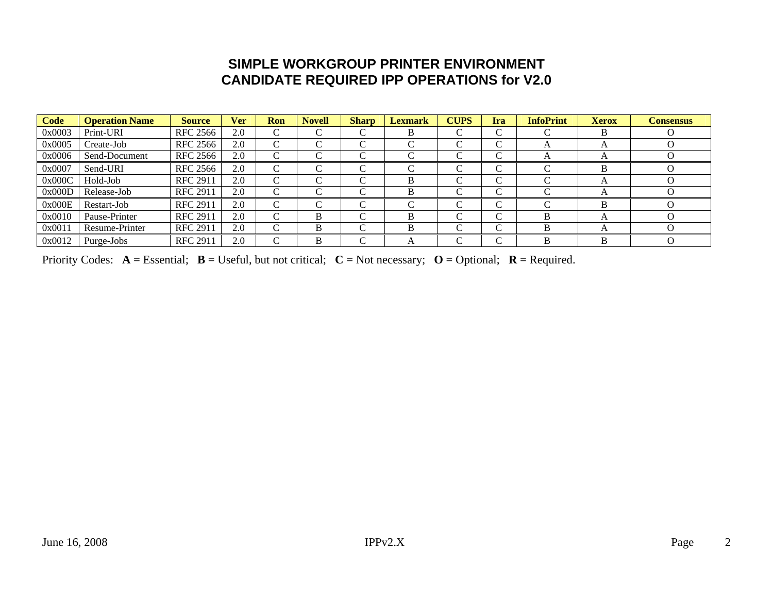## **SIMPLE WORKGROUP PRINTER ENVIRONMENT CANDIDATE REQUIRED IPP OPERATIONS for V2.0**

| Code   | <b>Operation Name</b> | <b>Source</b>   | <b>Ver</b> | <b>Ron</b>         | <b>Novell</b>      | <b>Sharp</b>       | <b>Lexmark</b> | <b>CUPS</b> | Ira        | <b>InfoPrint</b> | <b>Xerox</b> | <b>Consensus</b> |
|--------|-----------------------|-----------------|------------|--------------------|--------------------|--------------------|----------------|-------------|------------|------------------|--------------|------------------|
| 0x0003 | Print-URI             | <b>RFC 2566</b> | 2.0        | C                  | $\sim$             | ⌒                  | В              |             | $\sim$     |                  |              |                  |
| 0x0005 | Create-Job            | <b>RFC 2566</b> | 2.0        | $\curvearrowright$ |                    | $\sqrt{ }$         |                |             | $\sqrt{ }$ | $\mathsf{A}$     |              |                  |
| 0x0006 | Send-Document         | <b>RFC 2566</b> | 2.0        | $\curvearrowright$ | $\curvearrowright$ | $\sqrt{ }$         |                |             | $\sqrt{ }$ |                  |              |                  |
| 0x0007 | Send-URI              | RFC 2566        | 2.0        | ⌒                  | $\sim$             | $\curvearrowright$ |                |             | $\sqrt{ }$ |                  |              |                  |
| 0x000C | Hold-Job              | <b>RFC 2911</b> | 2.0        | $\curvearrowright$ |                    | $\sqrt{ }$         | В              |             | $\sqrt{ }$ |                  |              |                  |
| 0x000D | Release-Job           | <b>RFC 2911</b> | 2.0        | $\curvearrowright$ |                    | $\sqrt{ }$         | В              |             | $\sqrt{ }$ |                  |              |                  |
| 0x000E | Restart-Job           | <b>RFC 2911</b> | 2.0        | $\mathsf{\Gamma}$  |                    | $\sqrt{ }$         |                |             | $\sqrt{ }$ |                  |              |                  |
| 0x0010 | Pause-Printer         | <b>RFC 2911</b> | 2.0        | $\sim$             | B                  | C                  | B              |             | $\sqrt{ }$ | B                |              |                  |
| 0x0011 | Resume-Printer        | <b>RFC 2911</b> | 2.0        | C                  | B                  | $\sqrt{ }$         | в              |             | $\sqrt{ }$ |                  |              |                  |
| 0x0012 | Purge-Jobs            | <b>RFC 2911</b> | 2.0        |                    |                    | $\sqrt{ }$         | Η              |             | ⌒          |                  |              |                  |

Priority Codes:  $A = E$ ssential;  $B = U$ seful, but not critical;  $C = Not$  necessary;  $O = Optional$ ;  $R = Required$ .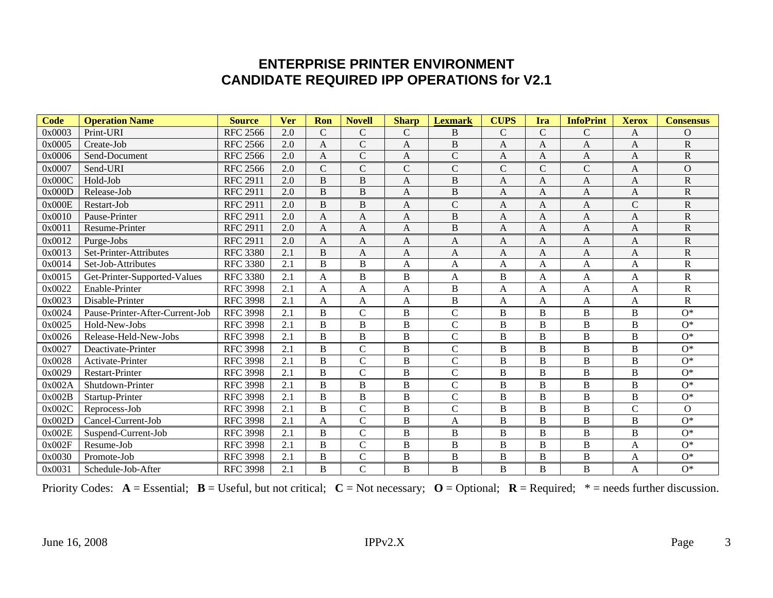## **ENTERPRISE PRINTER ENVIRONMENT CANDIDATE REQUIRED IPP OPERATIONS for V2.1**

| <b>Code</b> | <b>Operation Name</b>           | <b>Source</b>   | <b>Ver</b> | Ron            | <b>Novell</b>  | <b>Sharp</b>   | <b>Lexmark</b> | <b>CUPS</b>    | Ira            | <b>InfoPrint</b> | <b>Xerox</b>   | <b>Consensus</b>        |
|-------------|---------------------------------|-----------------|------------|----------------|----------------|----------------|----------------|----------------|----------------|------------------|----------------|-------------------------|
| 0x0003      | Print-URI                       | <b>RFC 2566</b> | 2.0        | $\mathsf{C}$   | $\mathcal{C}$  | $\mathcal{C}$  | B              | $\mathcal{C}$  | $\mathbf C$    | C                | A              | O                       |
| 0x0005      | Create-Job                      | <b>RFC 2566</b> | 2.0        | $\mathbf{A}$   | $\mathbf C$    | A              | $\mathbf B$    | A              | A              | A                | A              | $\overline{\text{R}}$   |
| 0x0006      | Send-Document                   | <b>RFC 2566</b> | 2.0        | A              | $\overline{C}$ | A              | $\mathcal{C}$  | A              | A              | A                | A              | $\overline{R}$          |
| 0x0007      | Send-URI                        | <b>RFC 2566</b> | 2.0        | $\mathcal{C}$  | $\mathcal{C}$  | $\mathcal{C}$  | $\mathbf C$    | $\mathcal{C}$  | $\mathsf{C}$   | $\mathcal{C}$    | A              | $\overline{O}$          |
| 0x000C      | Hold-Job                        | <b>RFC 2911</b> | 2.0        | B              | B              | $\mathbf{A}$   | $\overline{B}$ | A              | $\mathbf{A}$   | $\overline{A}$   | $\mathbf{A}$   | $\overline{\text{R}}$   |
| 0x000D      | Release-Job                     | <b>RFC 2911</b> | 2.0        | B              | $\overline{B}$ | A              | $\mathbf B$    | A              | A              | A                | A              | $\overline{\text{R}}$   |
| 0x000E      | Restart-Job                     | <b>RFC 2911</b> | 2.0        | B              | B              | $\mathbf{A}$   | $\mathcal{C}$  | A              | $\mathbf{A}$   | A                | $\mathcal{C}$  | $\overline{\text{R}}$   |
| 0x0010      | Pause-Printer                   | <b>RFC 2911</b> | 2.0        | A              | A              | A              | $\overline{B}$ | A              | A              | A                | A              | $\overline{\text{R}}$   |
| 0x0011      | Resume-Printer                  | <b>RFC 2911</b> | 2.0        | $\mathbf{A}$   | A              | $\mathbf{A}$   | B              | A              | A              | $\overline{A}$   | A              | $\overline{\text{R}}$   |
| 0x0012      | Purge-Jobs                      | <b>RFC 2911</b> | 2.0        | A              | A              | A              | A              | A              | A              | A                | A              | $\mathbf R$             |
| 0x0013      | Set-Printer-Attributes          | <b>RFC 3380</b> | 2.1        | B              | A              | $\mathbf{A}$   | A              | A              | $\overline{A}$ | A                | A              | $\overline{\text{R}}$   |
| 0x0014      | Set-Job-Attributes              | <b>RFC 3380</b> | 2.1        | B              | $\overline{B}$ | A              | A              | A              | A              | A                | A              | $\overline{\mathsf{R}}$ |
| 0x0015      | Get-Printer-Supported-Values    | <b>RFC 3380</b> | 2.1        | A              | $\overline{B}$ | $\, {\bf B}$   | A              | $\overline{B}$ | A              | A                | A              | $\overline{\text{R}}$   |
| 0x0022      | Enable-Printer                  | <b>RFC 3998</b> | 2.1        | A              | A              | A              | $\overline{B}$ | A              | A              | A                | A              | $\overline{\mathsf{R}}$ |
| 0x0023      | Disable-Printer                 | <b>RFC 3998</b> | 2.1        | A              | A              | A              | $\overline{B}$ | A              | $\mathbf{A}$   | $\overline{A}$   | $\mathbf{A}$   | $\mathbf R$             |
| 0x0024      | Pause-Printer-After-Current-Job | <b>RFC 3998</b> | 2.1        | B              | $\mathcal{C}$  | $\, {\bf B}$   | $\mathbf C$    | B              | B              | B                | B              | $O^*$                   |
| 0x0025      | Hold-New-Jobs                   | <b>RFC 3998</b> | 2.1        | B              | B              | $\overline{B}$ | $\mathcal{C}$  | B              | B              | $\, {\bf B}$     | B              | $O^*$                   |
| 0x0026      | Release-Held-New-Jobs           | <b>RFC 3998</b> | 2.1        | B              | $\, {\bf B}$   | $\overline{B}$ | $\mathcal{C}$  | B              | B              | $\, {\bf B}$     | B              | $O^*$                   |
| 0x0027      | Deactivate-Printer              | <b>RFC 3998</b> | 2.1        | B              | $\mathcal{C}$  | $\overline{B}$ | $\mathcal{C}$  | B              | B              | B                | B              | $O^*$                   |
| 0x0028      | Activate-Printer                | <b>RFC 3998</b> | 2.1        | B              | $\mathcal{C}$  | $\, {\bf B}$   | $\mathcal{C}$  | B              | B              | $\, {\bf B}$     | B              | $O^*$                   |
| 0x0029      | <b>Restart-Printer</b>          | <b>RFC 3998</b> | 2.1        | $\overline{B}$ | $\overline{C}$ | $\mathbf B$    | $\mathbf C$    | B              | B              | $\bf{B}$         | B              | $O^*$                   |
| 0x002A      | Shutdown-Printer                | <b>RFC 3998</b> | 2.1        | B              | $\, {\bf B}$   | $\, {\bf B}$   | $\mathbf C$    | B              | B              | B                | B              | $O^*$                   |
| 0x002B      | Startup-Printer                 | <b>RFC 3998</b> | 2.1        | B              | $\, {\bf B}$   | $\mathbf B$    | $\mathbf C$    | B              | B              | $\, {\bf B}$     | $\, {\bf B}$   | $O^*$                   |
| 0x002C      | Reprocess-Job                   | <b>RFC 3998</b> | 2.1        | B              | $\mathcal{C}$  | $\overline{B}$ | $\mathcal{C}$  | B              | B              | $\, {\bf B}$     | $\overline{C}$ | $\overline{O}$          |
| 0x002D      | Cancel-Current-Job              | <b>RFC 3998</b> | 2.1        | A              | $\mathcal{C}$  | B              | A              | B              | B              | B                | B              | $O^*$                   |
| 0x002E      | Suspend-Current-Job             | <b>RFC 3998</b> | 2.1        | B              | $\mathcal{C}$  | B              | B              | B              | B              | B                | B              | $O^*$                   |
| 0x002F      | Resume-Job                      | <b>RFC 3998</b> | 2.1        | B              | $\overline{C}$ | $\overline{B}$ | B              | $\mathbf B$    | $\bf{B}$       | $\, {\bf B}$     | $\mathbf{A}$   | $O^*$                   |
| 0x0030      | Promote-Job                     | <b>RFC 3998</b> | 2.1        | B              | $\mathbf C$    | $\, {\bf B}$   | B              | B              | B              | B                | A              | $O^*$                   |
| 0x0031      | Schedule-Job-After              | <b>RFC 3998</b> | 2.1        | B              | $\mathcal{C}$  | $\mathbf B$    | $\, {\bf B}$   | B              | B              | $\overline{B}$   | A              | $O^*$                   |

Priority Codes:  $A = E$ ssential;  $B = U$ seful, but not critical;  $C = Not$  necessary;  $O = Optional$ ;  $R = Required$ ;  $* = needs$  further discussion.